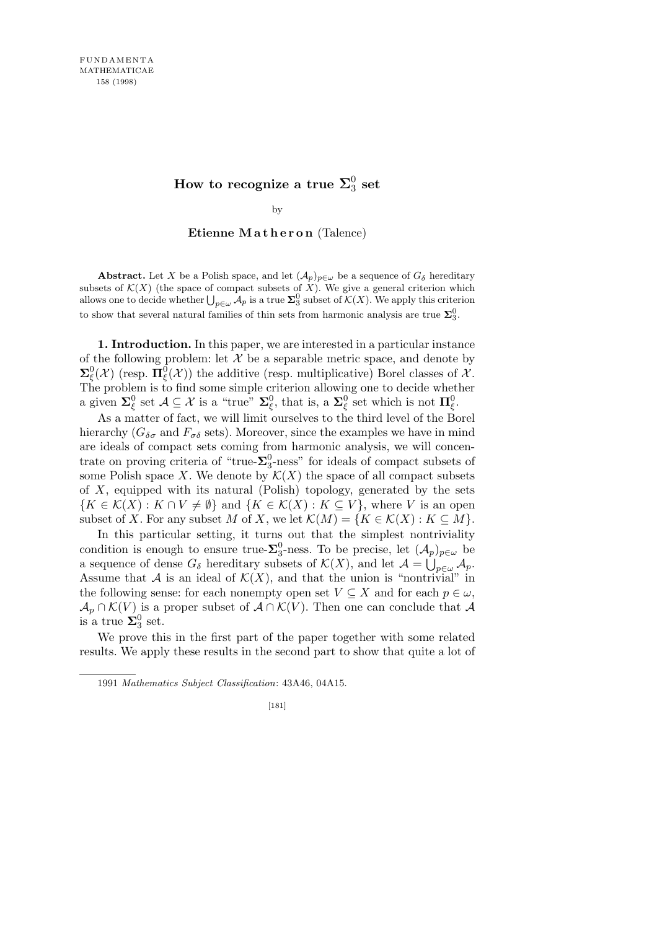${\rm How\ to\ recognize\ a\ true\ }\Sigma_3^0$  $\frac{0}{3}$  set

by

Etienne Matheron (Talence)

**Abstract.** Let *X* be a Polish space, and let  $(A_p)_{p \in \omega}$  be a sequence of  $G_{\delta}$  hereditary subsets of  $K(X)$  (the space of compact subsets of X). We give a general criterion which subsets of  $\mathcal{K}(X)$  (the space of compact subsets of  $X$ ). We give a general criterion which allows one to decide whether  $\bigcup_{p \in \omega} A_p$  is a true  $\Sigma_3^0$  subset of  $\mathcal{K}(X)$ . We apply this criterion to show that several natural families of thin sets from harmonic analysis are true  $\Sigma_3^0$ .

**1. Introduction.** In this paper, we are interested in a particular instance of the following problem: let  $X$  be a separable metric space, and denote by  $\Sigma^0_\xi(\mathcal{X})$  (resp.  $\Pi^0_\xi(\mathcal{X})$ ) the additive (resp. multiplicative) Borel classes of  $\mathcal{X}$ . The problem is to find some simple criterion allowing one to decide whether a given  $\Sigma_{\xi}^{0}$  set  $\mathcal{A} \subseteq \mathcal{X}$  is a "true"  $\Sigma_{\xi}^{0}$ , that is, a  $\Sigma_{\xi}^{0}$  set which is not  $\Pi_{\xi}^{0}$ .

As a matter of fact, we will limit ourselves to the third level of the Borel hierarchy ( $G_{\delta\sigma}$  and  $F_{\sigma\delta}$  sets). Moreover, since the examples we have in mind are ideals of compact sets coming from harmonic analysis, we will concentrate on proving criteria of "true- $\Sigma_3^0$ -ness" for ideals of compact subsets of some Polish space *X*. We denote by  $\mathcal{K}(X)$  the space of all compact subsets of *X*, equipped with its natural (Polish) topology, generated by the sets *{K* ∈ *K*(*X*) : *K* ∩ *V*  $\neq$  *Ø*} and {*K* ∈ *K*(*X*) : *K* ⊆ *V*}, where *V* is an open subset of *X*. For any subset *M* of *X*, we let  $\mathcal{K}(M) = \{K \in \mathcal{K}(X) : K \subseteq M\}$ .

In this particular setting, it turns out that the simplest nontriviality condition is enough to ensure true- $\Sigma_3^0$ -ness. To be precise, let  $(\mathcal{A}_p)_{p \in \omega}$  be a sequence of dense  $G_{\delta}$  hereditary subsets of  $\mathcal{K}(X)$ , and let  $\mathcal{A} = \bigcup_{p \in \omega} \mathcal{A}_p$ . Assume that *A* is an ideal of  $\mathcal{K}(X)$ , and that the union is "nontrivial" in the following sense: for each nonempty open set  $V \subseteq X$  and for each  $p \in \omega$ ,  $\mathcal{A}_p \cap \mathcal{K}(V)$  is a proper subset of  $\mathcal{A} \cap \mathcal{K}(V)$ . Then one can conclude that  $\mathcal{A}$ is a true  $\Sigma_3^0$  set.

We prove this in the first part of the paper together with some related results. We apply these results in the second part to show that quite a lot of

<sup>1991</sup> *Mathematics Subject Classification*: 43A46, 04A15.

<sup>[181]</sup>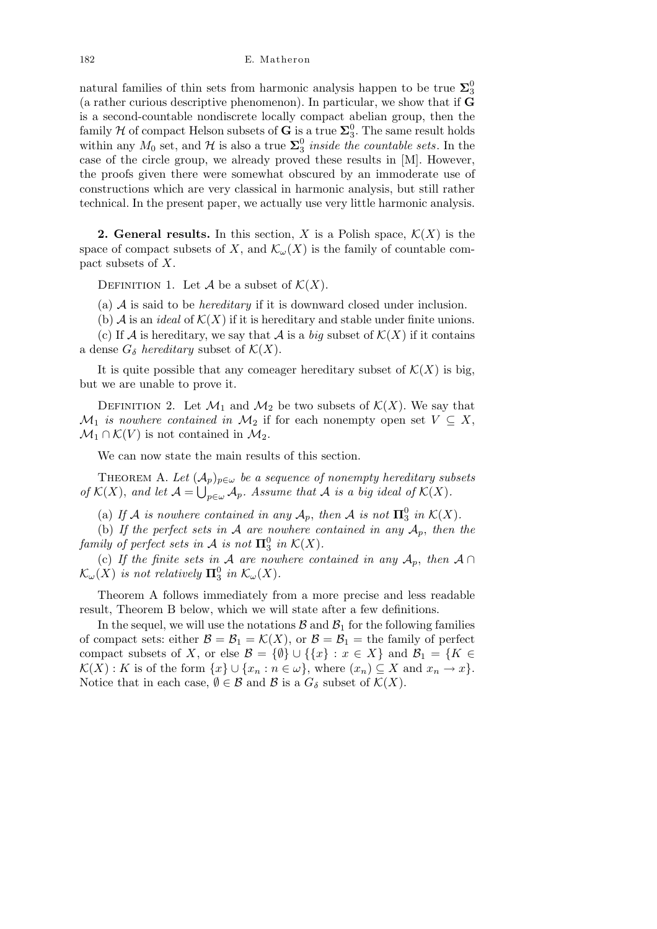natural families of thin sets from harmonic analysis happen to be true  $\Sigma_3^0$ (a rather curious descriptive phenomenon). In particular, we show that if **G** is a second-countable nondiscrete locally compact abelian group, then the family  $H$  of compact Helson subsets of  $G$  is a true  $\Sigma_3^0$ . The same result holds within any  $M_0$  set, and  $\mathcal{H}$  is also a true  $\Sigma_3^0$  *inside the countable sets*. In the case of the circle group, we already proved these results in [M]. However, the proofs given there were somewhat obscured by an immoderate use of constructions which are very classical in harmonic analysis, but still rather technical. In the present paper, we actually use very little harmonic analysis.

**2. General results.** In this section, *X* is a Polish space,  $\mathcal{K}(X)$  is the space of compact subsets of *X*, and  $\mathcal{K}_{\omega}(X)$  is the family of countable compact subsets of *X*.

DEFINITION 1. Let  $\mathcal A$  be a subset of  $\mathcal K(X)$ .

(a) *A* is said to be *hereditary* if it is downward closed under inclusion.

(b)  $\mathcal A$  is an *ideal* of  $\mathcal K(X)$  if it is hereditary and stable under finite unions.

(c) If *A* is hereditary, we say that *A* is a *big* subset of  $\mathcal{K}(X)$  if it contains a dense  $G_{\delta}$  *hereditary* subset of  $\mathcal{K}(X)$ .

It is quite possible that any comeager hereditary subset of  $\mathcal{K}(X)$  is big, but we are unable to prove it.

DEFINITION 2. Let  $\mathcal{M}_1$  and  $\mathcal{M}_2$  be two subsets of  $\mathcal{K}(X)$ . We say that  $\mathcal{M}_1$  *is nowhere contained in*  $\mathcal{M}_2$  if for each nonempty open set  $V \subseteq X$ ,  $\mathcal{M}_1 \cap \mathcal{K}(V)$  is not contained in  $\mathcal{M}_2$ .

We can now state the main results of this section.

THEOREM A. Let  $(A_p)_{p \in \omega}$  be a sequence of nonempty hereditary subsets *of*  $K(X)$ , and let  $A = \bigcup_{p \in \omega} A_p$ . Assume that A is a big ideal of  $K(X)$ .

(a) If *A* is nowhere contained in any  $A_p$ , then *A* is not  $\Pi_3^0$  in  $K(X)$ .

(b) *If the perfect sets in A are nowhere contained in any Ap*, *then the family of perfect sets in*  $\mathcal A$  *is not*  $\Pi_3^0$  *in*  $\mathcal K(X)$ *.* 

(c) If the finite sets in A are nowhere contained in any  $A_p$ , then  $A \cap$  $\mathcal{K}_{\omega}(X)$  *is not relatively*  $\mathbf{\Pi}^0_3$  *in*  $\mathcal{K}_{\omega}(X)$ *.* 

Theorem A follows immediately from a more precise and less readable result, Theorem B below, which we will state after a few definitions.

In the sequel, we will use the notations  $\mathcal{B}$  and  $\mathcal{B}_1$  for the following families of compact sets: either  $\mathcal{B} = \mathcal{B}_1 = \mathcal{K}(X)$ , or  $\mathcal{B} = \mathcal{B}_1$  = the family of perfect compact subsets of *X*, or else  $\mathcal{B} = \{\emptyset\} \cup \{\{x\} : x \in X\}$  and  $\mathcal{B}_1 = \{K \in \mathcal{B} \}$  $K(X): K$  is of the form  $\{x\} \cup \{x_n : n \in \omega\}$ , where  $(x_n) \subseteq X$  and  $x_n \to x\}$ . Notice that in each case,  $\emptyset \in \mathcal{B}$  and  $\mathcal{B}$  is a  $G_{\delta}$  subset of  $\mathcal{K}(X)$ .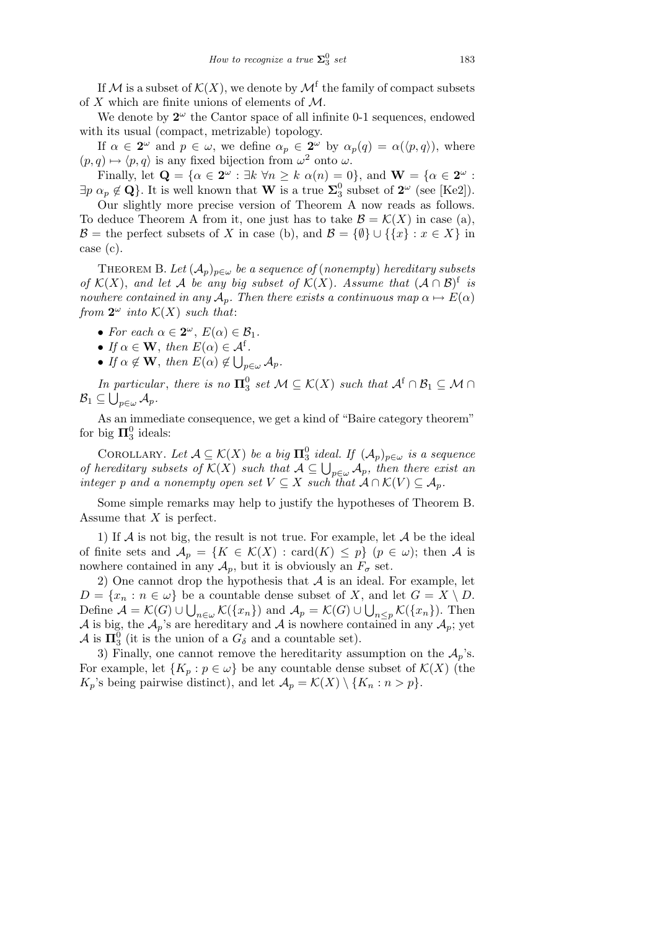If M is a subset of  $\mathcal{K}(X)$ , we denote by  $\mathcal{M}^{\text{f}}$  the family of compact subsets of *X* which are finite unions of elements of *M*.

We denote by  $2^{\omega}$  the Cantor space of all infinite 0-1 sequences, endowed with its usual (compact, metrizable) topology.

If  $\alpha \in \mathbb{2}^{\omega}$  and  $p \in \omega$ , we define  $\alpha_p \in \mathbb{2}^{\omega}$  by  $\alpha_p(q) = \alpha(\langle p, q \rangle)$ , where  $(p, q) \mapsto \langle p, q \rangle$  is any fixed bijection from  $\omega^2$  onto  $\omega$ .

Finally, let  $\mathbf{Q} = \{ \alpha \in \mathbf{2}^{\omega} : \exists k \ \forall n \geq k \ \alpha(n) = 0 \}$ , and  $\mathbf{W} = \{ \alpha \in \mathbf{2}^{\omega} : \exists k \ \forall n \geq k \ \alpha(n) = 0 \}$  $\exists p \alpha_p \notin \mathbf{Q}$ . It is well known that **W** is a true  $\Sigma_3^0$  subset of  $2^{\omega}$  (see [Ke2]).

Our slightly more precise version of Theorem A now reads as follows. To deduce Theorem A from it, one just has to take  $\mathcal{B} = \mathcal{K}(X)$  in case (a), *B* = the perfect subsets of *X* in case (b), and  $B = \{\emptyset\} \cup \{\{x\} : x \in X\}$  in case (c).

THEOREM B. Let  $(A_p)_{p \in \omega}$  be a sequence of (nonempty) hereditary subsets *of*  $K(X)$ , and let *A be any big subset of*  $K(X)$ *. Assume that*  $(A \cap B)^f$  *is nowhere contained in any*  $A_p$ *. Then there exists a continuous map*  $\alpha \mapsto E(\alpha)$ *from*  $2^{\omega}$  *into*  $\mathcal{K}(X)$  *such that:* 

• *For each*  $\alpha \in 2^{\omega}$ ,  $E(\alpha) \in \mathcal{B}_1$ .

- *If*  $\alpha \in \mathbf{W}$ , *then*  $E(\alpha) \in \mathcal{A}^f$ .
- *If*  $\alpha \notin \mathbf{W}$ , *then*  $E(\alpha) \notin \bigcup_{p \in \omega} A_p$ .

*In particular, there is no*  $\Pi_3^0$  *set*  $\mathcal{M} \subseteq \mathcal{K}(X)$  *such that*  $\mathcal{A}^f \cap \mathcal{B}_1 \subseteq \mathcal{M} \cap$  $\mathcal{B}_1 \subseteq \bigcup_{p \in \omega} \mathcal{A}_p$ *.* 

As an immediate consequence, we get a kind of "Baire category theorem" for big  $\Pi^0_3$  ideals:

COROLLARY. Let  $\mathcal{A} \subseteq \mathcal{K}(X)$  be a big  $\mathbf{\Pi}^0_3$  ideal. If  $(\mathcal{A}_p)_{p \in \omega}$  is a sequence *COROLLARY. Let*  $A \subseteq \mathcal{K}(A)$  *be a oig*  $\mathbf{H}_3$  *iaeal. If*  $(A_p)_{p \in \omega}$  *is a sequence of hereditary subsets of*  $\mathcal{K}(X)$  *such that*  $A \subseteq \bigcup_{p \in \omega} A_p$ *, then there exist an integer p and a nonempty open set*  $V \subseteq X$  *such that*  $A \cap K(V) \subseteq A_p$ *.* 

Some simple remarks may help to justify the hypotheses of Theorem B. Assume that *X* is perfect.

1) If *A* is not big, the result is not true. For example, let *A* be the ideal of finite sets and  $\mathcal{A}_p = \{K \in \mathcal{K}(X) : \text{card}(K) \leq p\} \ (p \in \omega)$ ; then A is nowhere contained in any  $A_p$ , but it is obviously an  $F_\sigma$  set.

2) One cannot drop the hypothesis that *A* is an ideal. For example, let  $D = \{x_n : n \in \omega\}$  be a countable dense subset of *X*, and let  $G = X \setminus D$ . Define  $\mathcal{A} = \mathcal{K}(G) \cup \bigcup_{n \in \omega} \mathcal{K}(\{x_n\})$  and  $\mathcal{A}_p = \mathcal{K}(G) \cup \bigcup_{n \leq p} \mathcal{K}(\{x_n\})$ . Then *A* is big, the  $A_p$ 's are hereditary and *A* is nowhere contained in any  $A_p$ ; yet  $\mathcal{A}$  is  $\Pi_3^0$  (it is the union of a  $G_\delta$  and a countable set).

3) Finally, one cannot remove the hereditarity assumption on the  $A_p$ 's. For example, let  $\{K_p : p \in \omega\}$  be any countable dense subset of  $\mathcal{K}(X)$  (the  $K_p$ 's being pairwise distinct), and let  $\mathcal{A}_p = \mathcal{K}(X) \setminus \{K_n : n > p\}.$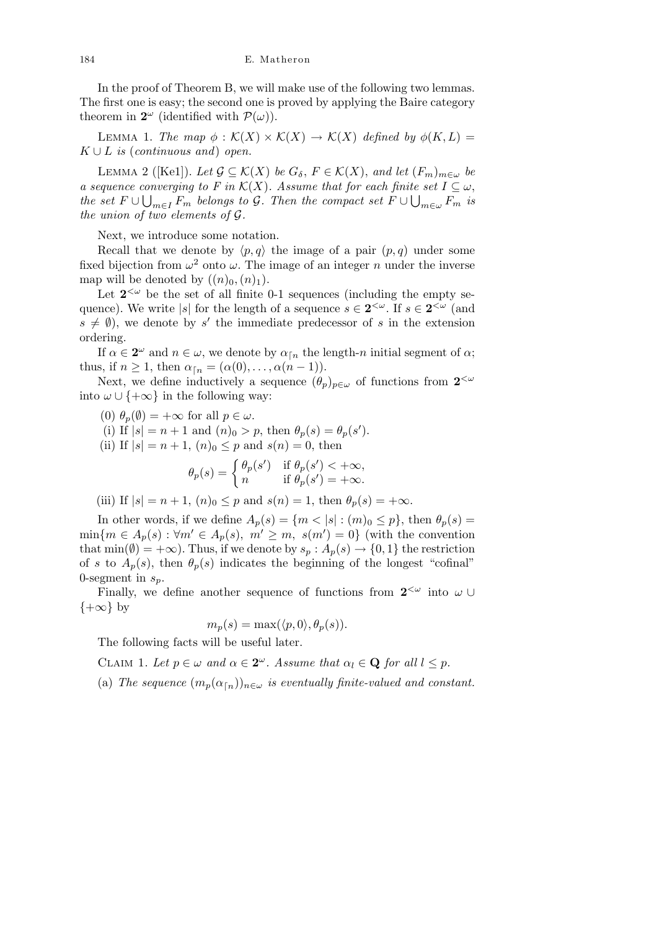In the proof of Theorem B, we will make use of the following two lemmas. The first one is easy; the second one is proved by applying the Baire category theorem in  $2^{\omega}$  (identified with  $\mathcal{P}(\omega)$ ).

LEMMA 1. *The map*  $\phi : \mathcal{K}(X) \times \mathcal{K}(X) \rightarrow \mathcal{K}(X)$  *defined by*  $\phi(K, L) =$  $K \cup L$  *is* (*continuous and*) *open.* 

LEMMA 2 ([Ke1]). Let  $\mathcal{G} \subseteq \mathcal{K}(X)$  be  $G_{\delta}$ ,  $F \in \mathcal{K}(X)$ , and let  $(F_m)_{m \in \omega}$  be *a sequence converging to F* in  $K(X)$ *. Assume that for each finite set*  $I \subseteq \omega$ , *the set*  $F \cup \bigcup_{m \in I} F_m$  *belongs to*  $G$ *. Then the compact set*  $F \cup \bigcup_{m \in \omega} F_m$  *is the union of two elements of G.*

Next, we introduce some notation.

Recall that we denote by  $\langle p, q \rangle$  the image of a pair  $(p, q)$  under some fixed bijection from  $\omega^2$  onto  $\omega$ . The image of an integer *n* under the inverse map will be denoted by  $((n)_0, (n)_1)$ .

Let  $2^{\lt}\omega$  be the set of all finite 0-1 sequences (including the empty sequence). We write *|s|* for the length of a sequence  $s \in 2^{\langle \omega \rangle}$ . If  $s \in 2^{\langle \omega \rangle}$  (and  $s \neq \emptyset$ , we denote by *s*<sup>'</sup> the immediate predecessor of *s* in the extension ordering.

If  $\alpha \in 2^{\omega}$  and  $n \in \omega$ , we denote by  $\alpha_{\lceil n \rceil}$  the length-*n* initial segment of  $\alpha$ ; thus, if  $n \geq 1$ , then  $\alpha_{\lceil n \rceil} = (\alpha(0), \ldots, \alpha(n-1)).$ 

Next, we define inductively a sequence  $(\theta_p)_{p \in \omega}$  of functions from  $2^{<\omega}$ into  $\omega \cup \{+\infty\}$  in the following way:

(0)  $\theta_p(\emptyset) = +\infty$  for all  $p \in \omega$ .

(i) If  $|s| = n + 1$  and  $(n)_0 > p$ , then  $\theta_p(s) = \theta_p(s')$ .

(ii) If  $|s| = n + 1$ ,  $(n)_0 \leq p$  and  $s(n) = 0$ , then

$$
\theta_p(s) = \begin{cases} \theta_p(s') & \text{if } \theta_p(s') < +\infty, \\ n & \text{if } \theta_p(s') = +\infty. \end{cases}
$$

(iii) If  $|s| = n + 1$ ,  $(n)_0 \leq p$  and  $s(n) = 1$ , then  $\theta_p(s) = +\infty$ .

In other words, if we define  $A_p(s) = \{m < |s| : (m)_0 \le p\}$ , then  $\theta_p(s) =$  $\min\{m \in A_p(s) : \forall m' \in A_p(s), m' \geq m, s(m') = 0\}$  (with the convention that  $min(\emptyset) = +\infty$ ). Thus, if we denote by  $s_p : A_p(s) \to \{0, 1\}$  the restriction of *s* to  $A_p(s)$ , then  $\theta_p(s)$  indicates the beginning of the longest "cofinal" 0-segment in *sp*.

Finally, we define another sequence of functions from  $2^{\langle \omega \rangle}$  into  $\omega \cup$ *{*+*∞}* by

$$
m_p(s) = \max(\langle p, 0 \rangle, \theta_p(s)).
$$

The following facts will be useful later.

CLAIM 1. Let  $p \in \omega$  and  $\alpha \in 2^{\omega}$ . Assume that  $\alpha_l \in \mathbf{Q}$  for all  $l \leq p$ .

(a) *The sequence*  $(m_p(\alpha_{\text{F}_p}))_{n \in \omega}$  *is eventually finite-valued and constant.*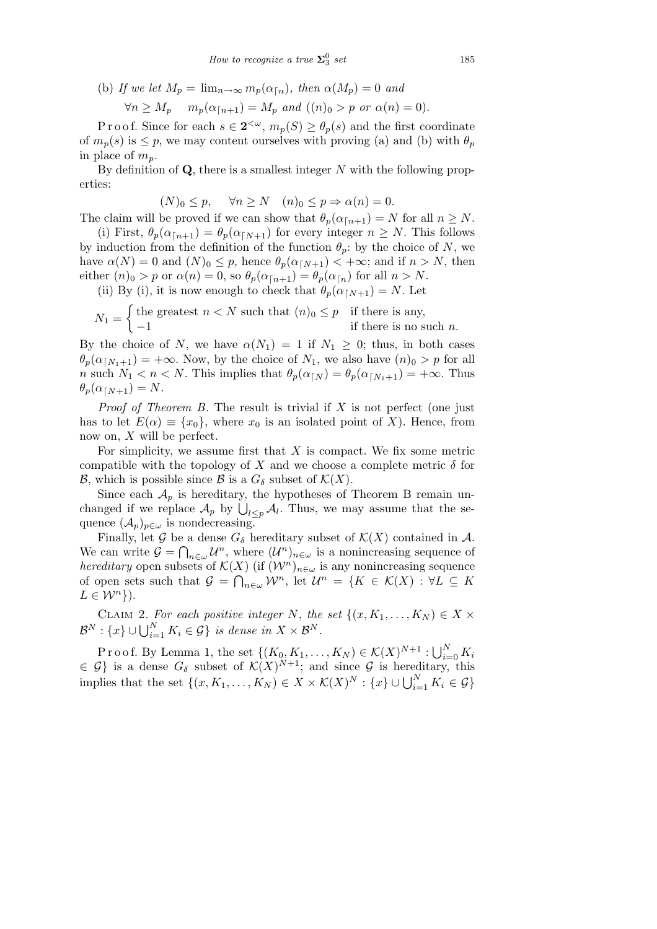(b) If we let  $M_p = \lim_{n \to \infty} m_p(\alpha_{\lceil n})$ , then  $\alpha(M_p) = 0$  and

$$
\forall n \ge M_p \quad m_p(\alpha_{\lceil n+1}) = M_p \text{ and } ((n)_0 > p \text{ or } \alpha(n) = 0).
$$

Proof. Since for each  $s \in 2^{\lt \omega}$ ,  $m_p(S) \ge \theta_p(s)$  and the first coordinate of  $m_p(s)$  is  $\leq p$ , we may content ourselves with proving (a) and (b) with  $\theta_p$ in place of  $m_p$ .

By definition of **Q**, there is a smallest integer *N* with the following properties:

$$
(N)_0 \le p, \quad \forall n \ge N \quad (n)_0 \le p \Rightarrow \alpha(n) = 0.
$$

The claim will be proved if we can show that  $\theta_p(\alpha_{n+1}) = N$  for all  $n \geq N$ .

(i) First,  $\theta_p(\alpha_{n+1}) = \theta_p(\alpha_{N+1})$  for every integer  $n \geq N$ . This follows by induction from the definition of the function  $\theta_p$ : by the choice of *N*, we have  $\alpha(N) = 0$  and  $(N)_0 \leq p$ , hence  $\theta_p(\alpha_{\lceil N+1 \rceil}) < +\infty$ ; and if  $n > N$ , then either  $(n)_0 > p$  or  $\alpha(n) = 0$ , so  $\theta_p(\alpha_{n+1}) = \theta_p(\alpha_{n})$  for all  $n > N$ .

(ii) By (i), it is now enough to check that  $\theta_p(\alpha_{\lceil N+1}) = N$ . Let  $\frac{1}{2}$ 

$$
N_1 = \begin{cases} \text{the greatest } n < N \text{ such that } (n)_0 \le p & \text{if there is any,} \\ -1 & \text{if there is no such } n. \end{cases}
$$

By the choice of *N*, we have  $\alpha(N_1) = 1$  if  $N_1 \geq 0$ ; thus, in both cases  $\theta_p(\alpha_{\lceil N_1+1\rceil}) = +\infty$ . Now, by the choice of  $N_1$ , we also have  $(n)_0 > p$  for all *n* such  $N_1 < n < N$ . This implies that  $\theta_p(\alpha_{\lceil N \rceil}) = \theta_p(\alpha_{\lceil N_1 + 1}) = +\infty$ . Thus  $\theta_p(\alpha_{\lceil N+1}) = N$ .

*Proof of Theorem B*. The result is trivial if *X* is not perfect (one just has to let  $E(\alpha) \equiv \{x_0\}$ , where  $x_0$  is an isolated point of *X*). Hence, from now on, *X* will be perfect.

For simplicity, we assume first that *X* is compact. We fix some metric compatible with the topology of *X* and we choose a complete metric  $\delta$  for *B*, which is possible since *B* is a  $G_{\delta}$  subset of  $K(X)$ .

Since each  $A_p$  is hereditary, the hypotheses of Theorem B remain unsince each  $A_p$  is nereditary, the hypotheses of Theorem B remain unchanged if we replace  $A_p$  by  $\bigcup_{l \leq p} A_l$ . Thus, we may assume that the sequence  $(\mathcal{A}_p)_{p \in \omega}$  is nondecreasing.

Finally, let  $\mathcal G$  be a dense  $G_\delta$  hereditary subset of  $\mathcal K(X)$  contained in  $\mathcal A$ . We can write  $\mathcal{G} = \bigcap_{n \in \omega} \mathcal{U}^n$ , where  $(\mathcal{U}^n)_{n \in \omega}$  is a nonincreasing sequence of *hereditary* open subsets of  $\mathcal{K}(X)$  (if  $(\mathcal{W}^n)_{n \in \omega}$  is any nonincreasing sequence of open sets such that  $\mathcal{G} = \bigcap_{n \in \omega} \mathcal{W}^n$ , let  $\mathcal{U}^n = \{K \in \mathcal{K}(X) : \forall L \subseteq K\}$  $L \in \mathcal{W}^n$  }).

CLAIM 2. For each positive integer *N*, the set  $\{(x, K_1, \ldots, K_N) \in X \times$  $\mathcal{B}^N$  :  $\{x\}$  ∪  $\bigcup_{i=1}^N K_i \in \mathcal{G}\}$  *is dense in*  $X \times \mathcal{B}^N$ .

Proof. By Lemma 1, the set  $\{(K_0, K_1, \ldots, K_N) \in K(X)^{N+1} : \bigcup_{i=1}^N$  $\sum_{i=0}^N K_i$  $\in \mathcal{G}$  is a dense  $G_{\delta}$  subset of  $\mathcal{K}(X)^{N+1}$ ; and since  $\mathcal{G}$  is hereditary, this implies that the set  $\{(x, K_1, \ldots, K_N) \in X \times \mathcal{K}(X)^N : \{x\} \cup \bigcup_{i=1}^N K_i \in \mathcal{G}\}\$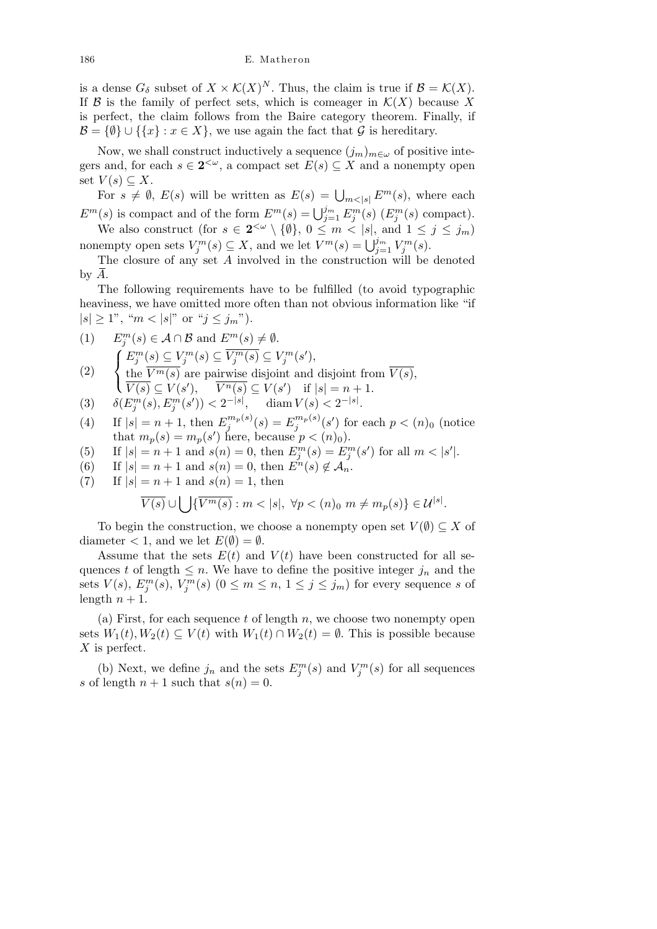is a dense  $G_{\delta}$  subset of  $X \times \mathcal{K}(X)^N$ . Thus, the claim is true if  $\mathcal{B} = \mathcal{K}(X)$ . If  $\mathcal{B}$  is the family of perfect sets, which is comeager in  $\mathcal{K}(X)$  because X is perfect, the claim follows from the Baire category theorem. Finally, if  $\mathcal{B} = \{\emptyset\} \cup \{\{x\} : x \in X\}$ , we use again the fact that *G* is hereditary.

Now, we shall construct inductively a sequence  $(j_m)_{m \in \omega}$  of positive integers and, for each  $s \in 2^{\lt \omega}$ , a compact set  $E(s) \subseteq X$  and a nonempty open set  $V(s) \subseteq X$ .

For  $s \neq \emptyset$ ,  $E(s)$  will be written as  $E(s) = \bigcup_{m \leq |s|} E^m(s)$ , where each *E*<sup>*m*</sup>(*s*) is compact and of the form  $E^{m}(s) = \bigcup_{j=1}^{j_m} E_j^{m}(s)$  ( $E_j^{m}(s)$  compact). We also construct (for  $s \in 2^{\langle \omega \rangle} \setminus \{0\}$ ,  $0 \leq m \leq |s|$ , and  $1 \leq j \leq j_m$ )

nonempty open sets  $V_j^m(s) \subseteq X$ , and we let  $V^m(s) = \bigcup_{j=1}^{j_m} V_j^m(s)$ .

The closure of any set *A* involved in the construction will be denoted by *A*.

The following requirements have to be fulfilled (to avoid typographic heaviness, we have omitted more often than not obvious information like "if  $|s| \geq 1$ ", " $m < |s|$ " or " $j \leq j_m$ ").

(1) 
$$
E_j^m(s) \in A \cap B
$$
 and  $E^m(s) \neq \emptyset$ .  
\n
$$
\int E_j^m(s) \subseteq V_j^m(s) \subseteq V_j^m(s) \subseteq V_j^m(s'),
$$

- (2)  $\mathcal{L}$ the  $V^m(s)$  are pairwise disjoint and disjoint from  $V(s)$ ,  $\overline{V(s)} \subseteq V(s')$ ,  $\overline{V^n(s)} \subseteq V(s')$  if  $|s| = n + 1$ .
- $(3)$   $\delta(E_j^m(s), E_j^m(s')) < 2^{-|s|},$  diam  $V(s) < 2^{-|s|}.$
- (4) If  $|s| = n + 1$ , then  $E_i^{m_p(s)}$  $\binom{m_p(s)}{j}$   $(s)$   $=$   $E_j^{m_p(s)}$  $j^{m_p(s)}(s')$  for each  $p < (n)_0$  (notice that  $m_p(s) = m_p(s')$  here, because  $p < (n)_0$ .
- (5) If  $|s| = n + 1$  and  $s(n) = 0$ , then  $E_j^m(s) = E_j^m(s')$  for all  $m < |s'|$ .
- (6) If  $|s| = n + 1$  and  $s(n) = 0$ , then  $E^{n}(s) \notin A_{n}$ .
- (7) If  $|s| = n + 1$  and  $s(n) = 1$ , then  $\overline{\phantom{a}}$

$$
\overline{V(s)} \cup \bigcup \{ \overline{V^m(s)} : m < |s|, \ \forall p < (n)_0 \ m \neq m_p(s) \} \in \mathcal{U}^{|s|}.
$$

To begin the construction, we choose a nonempty open set  $V(\emptyset) \subseteq X$  of diameter  $\lt 1$ , and we let  $E(\emptyset) = \emptyset$ .

Assume that the sets  $E(t)$  and  $V(t)$  have been constructed for all sequences *t* of length  $\leq n$ . We have to define the positive integer  $j_n$  and the sets  $V(s)$ ,  $E_j^m(s)$ ,  $V_j^m(s)$   $(0 \leq m \leq n, 1 \leq j \leq j_m)$  for every sequence *s* of length  $n + 1$ .

(a) First, for each sequence *t* of length *n*, we choose two nonempty open sets  $W_1(t), W_2(t) \subseteq V(t)$  with  $W_1(t) \cap W_2(t) = \emptyset$ . This is possible because *X* is perfect.

(b) Next, we define  $j_n$  and the sets  $E_j^m(s)$  and  $V_j^m(s)$  for all sequences *s* of length  $n + 1$  such that  $s(n) = 0$ .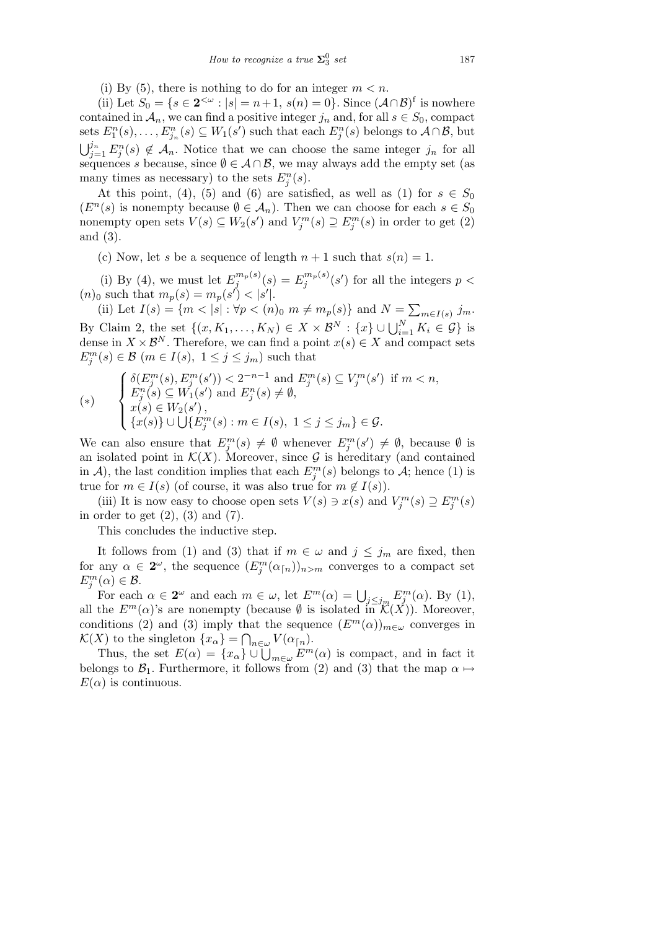(i) By (5), there is nothing to do for an integer  $m < n$ .

(ii) Let  $S_0 = \{ s \in 2^{< \omega} : |s| = n+1, s(n) = 0 \}.$  Since  $(A \cap B)^f$  is nowhere contained in  $A_n$ , we can find a positive integer  $j_n$  and, for all  $s \in S_0$ , compact sets  $E_1^n(s), \ldots, E_{j_n}^n(s) \subseteq W_1(s')$  such that each  $E_j^n(s)$  belongs to  $A \cap B$ , but<br> $\lim_{s \to B_n(s)} \mathcal{A}_{s} A$ . Notice that we can choose the same integer in for all  $j_{n=1}^j E_j^n(s) \notin \mathcal{A}_n$ . Notice that we can choose the same integer  $j_n$  for all sequences *s* because, since  $\emptyset \in \mathcal{A} \cap \mathcal{B}$ , we may always add the empty set (as many times as necessary) to the sets  $E_j^n(s)$ .

At this point, (4), (5) and (6) are satisfied, as well as (1) for  $s \in S_0$  $(E<sup>n</sup>(s)$  is nonempty because  $\emptyset \in \mathcal{A}<sub>n</sub>$ . Then we can choose for each *s* ∈ *S*<sub>0</sub> nonempty open sets  $V(s) \subseteq W_2(s')$  and  $V_j^m(s) \supseteq E_j^m(s)$  in order to get (2) and (3).

(c) Now, let *s* be a sequence of length  $n + 1$  such that  $s(n) = 1$ .

(i) By (4), we must let  $E_i^{m_p(s)}$  $\binom{m_p(s)}{j}$  (*s*) =  $E_j^{m_p(s)}$  $\int_j^{m_p(s)} (s')$  for all the integers  $p <$  $(m)_0$  such that  $m_p(s) = m_p(s') < |s'|$ .

(ii) Let  $I(s) = \{m < |s| : \forall p < (n)_0 \ m \neq m_p(s)\}\$  and  $N = \sum_{m \in I(s)} j_m$ . By Claim 2, the set  $\{(x, K_1, \ldots, K_N) \in X \times \mathcal{B}^N : \{x\} \cup \bigcup_{i=1}^N K_i \in \mathcal{G}\}$  is dense in  $X \times \mathcal{B}^N$ . Therefore, we can find a point  $x(s) \in X$  and compact sets  $E_j^m(s) \in \mathcal{B}$  (*m*  $\in I(s)$ ,  $1 \leq j \leq j_m$ ) such that

$$
(*) \qquad \begin{cases} \delta(E_j^m(s), E_j^m(s')) < 2^{-n-1} \text{ and } E_j^m(s) \subseteq V_j^m(s') \text{ if } m < n, \\ E_j^n(s) \subseteq W_1(s') \text{ and } E_j^n(s) \neq \emptyset, \\ x(s) \in W_2(s'), \\ \{x(s)\} \cup \bigcup \{E_j^m(s) : m \in I(s), \ 1 \leq j \leq j_m\} \in \mathcal{G}. \end{cases}
$$

We can also ensure that  $E_j^m(s) \neq \emptyset$  whenever  $E_j^m(s') \neq \emptyset$ , because  $\emptyset$  is an isolated point in  $K(X)$ . Moreover, since  $G$  is hereditary (and contained in *A*), the last condition implies that each  $E_j^m(s)$  belongs to *A*; hence (1) is true for  $m \in I(s)$  (of course, it was also true for  $m \notin I(s)$ ).

(iii) It is now easy to choose open sets  $V(s) \ni x(s)$  and  $V_j^m(s) \supseteq E_j^m(s)$ in order to get  $(2)$ ,  $(3)$  and  $(7)$ .

This concludes the inductive step.

It follows from (1) and (3) that if  $m \in \omega$  and  $j \leq j_m$  are fixed, then for any  $\alpha \in 2^{\omega}$ , the sequence  $(E_j^m(\alpha_{\lceil n \rceil}))_{n>m}$  converges to a compact set  $E_j^m(\alpha) \in \mathcal{B}$ .

For each  $\alpha \in 2^{\omega}$  and each  $m \in \omega$ , let  $E^m(\alpha) = \bigcup_{j \le j_m} E^m_j(\alpha)$ . By (1), all the  $E^m(\alpha)$ 's are nonempty (because  $\emptyset$  is isolated in  $\mathcal{K}(X)$ ). Moreover, conditions (2) and (3) imply that the sequence  $(E^m(\alpha))_{m \in \omega}$  converges in *K*(*X*) to the singleton  $\{x_{\alpha}\} = \bigcap_{n \in \omega} V(\alpha_{n}).$ 

Thus, the set  $E(\alpha) = \{x_{\alpha}\} \cup \bigcup_{m \in \omega} F^{m}(\alpha)$  is compact, and in fact it belongs to  $\mathcal{B}_1$ . Furthermore, it follows from (2) and (3) that the map  $\alpha \mapsto$  $E(\alpha)$  is continuous.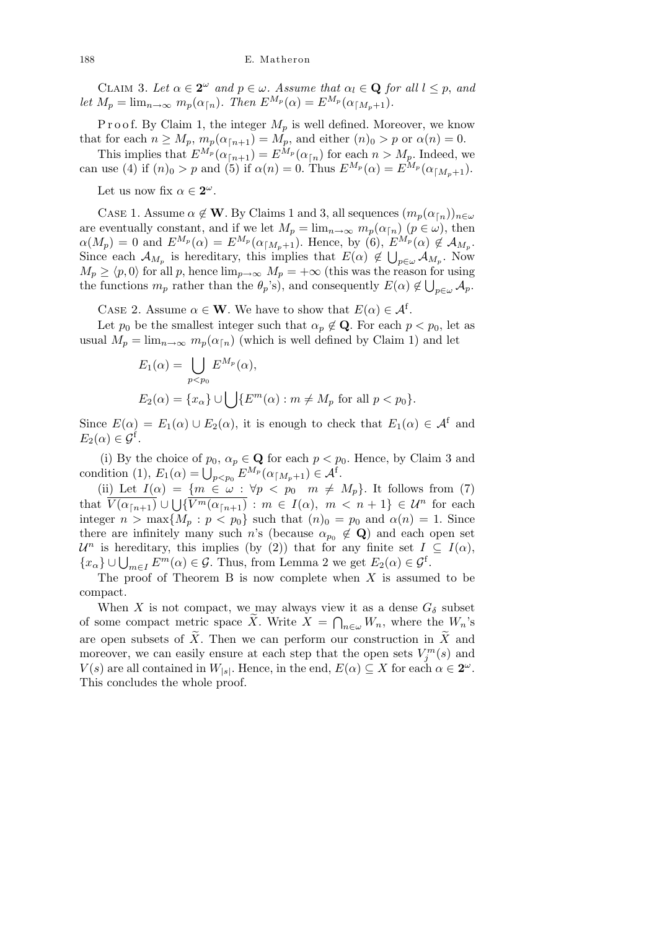CLAIM 3. Let  $\alpha \in 2^{\omega}$  and  $p \in \omega$ . Assume that  $\alpha_l \in \mathbf{Q}$  for all  $l \leq p$ , and *let*  $M_p = \lim_{n \to \infty} m_p(\alpha_{n})$ *. Then*  $E^{M_p}(\alpha) = E^{M_p}(\alpha_{n-p+1})$ *.* 

P r o o f. By Claim 1, the integer  $M_p$  is well defined. Moreover, we know that for each  $n \geq M_p$ ,  $m_p(\alpha_{\lceil n+1 \rceil}) = M_p$ , and either  $(n)_0 > p$  or  $\alpha(n) = 0$ .

This implies that  $E^{M_p}(\alpha_{n+1}) = E^{M_p}(\alpha_{n})$  for each  $n > M_p$ . Indeed, we can use (4) if  $(n)_0 > p$  and (5) if  $\alpha(n) = 0$ . Thus  $E^{M_p}(\alpha) = E^{M_p}(\alpha_{\lceil M_p + 1})$ .

Let us now fix  $\alpha \in 2^{\omega}$ .

CASE 1. Assume  $\alpha \notin \mathbf{W}$ . By Claims 1 and 3, all sequences  $(m_p(\alpha_{\lceil n}))_{n \in \omega}$ are eventually constant, and if we let  $M_p = \lim_{n \to \infty} m_p(\alpha_{\lceil n}) \ (p \in \omega)$ , then  $\alpha(M_p) = 0$  and  $E^{M_p}(\alpha) = E^{M_p}(\alpha_{\lceil M_p+1})$ . Hence, by (6),  $E^{M_p}(\alpha) \notin \mathcal{A}_{M_p}$ . Since each  $\mathcal{A}_{M_p}$  is hereditary, this implies that  $E(\alpha) \notin \bigcup_{p \in \omega} \mathcal{A}_{M_p}$ . Now  $M_p \ge \langle p, 0 \rangle$  for all *p*, hence  $\lim_{p \to \infty} M_p = +\infty$  (this was the reason for using the functions  $m_p$  rather than the  $\theta_p$ 's), and consequently  $E(\alpha) \notin \bigcup_{p \in \omega} A_p$ .

CASE 2. Assume  $\alpha \in \mathbf{W}$ . We have to show that  $E(\alpha) \in \mathcal{A}^f$ .

Let  $p_0$  be the smallest integer such that  $\alpha_p \notin \mathbf{Q}$ . For each  $p < p_0$ , let as usual  $M_p = \lim_{n \to \infty} m_p(\alpha_{\lfloor n \rfloor})$  (which is well defined by Claim 1) and let

$$
E_1(\alpha) = \bigcup_{p < p_0} E^{M_p}(\alpha),
$$
\n
$$
E_2(\alpha) = \{x_\alpha\} \cup \bigcup \{E^m(\alpha) : m \neq M_p \text{ for all } p < p_0\}.
$$

Since  $E(\alpha) = E_1(\alpha) \cup E_2(\alpha)$ , it is enough to check that  $E_1(\alpha) \in \mathcal{A}^f$  and  $E_2(\alpha) \in \mathcal{G}^{\text{f}}$ .

(i) By the choice of  $p_0, \alpha_p \in \mathbf{Q}$  for each  $p < p_0$ . Hence, by Claim 3 and condition (1),  $E_1(\alpha) = \bigcup_{p < p_0} E^{M_p}(\alpha_{\lceil M_p + 1}) \in \mathcal{A}^f$ .

(ii) Let  $I(\alpha) = \{m \in \omega : \forall p < p_0 \mid m \neq M_p\}$ . It follows from (7) that  $\overline{V(\alpha_{n+1})} \cup \bigcup \{\overline{V^m(\alpha_{n+1})} : m \in I(\alpha), m < n+1\} \in \mathcal{U}^n$  for each integer  $n > \max\{M_p : p < p_0\}$  such that  $(n)_0 = p_0$  and  $\alpha(n) = 1$ . Since there are infinitely many such *n*'s (because  $\alpha_{p_0} \notin \mathbf{Q}$ ) and each open set *U<sup>n</sup>* is hereditary, this implies (by (2)) that for any finite set  $I \subseteq I(\alpha)$ ,  ${x_{\alpha}}$  is necember *f*  ${x_{\alpha}}$  is implies (by (2)) that for any limite set *I*  ${x_{\alpha}}$  is  $\bigcup_{m \in I} E^m(\alpha) \in \mathcal{G}$ . Thus, from Lemma 2 we get  $E_2(\alpha) \in \mathcal{G}^f$ .

The proof of Theorem B is now complete when *X* is assumed to be compact.

When *X* is not compact, we may always view it as a dense  $G_{\delta}$  subset of some compact metric space  $\widetilde{X}$ . Write  $\widetilde{X} = \bigcap_{n \in \omega} W_n$ , where the  $W_n$ 's are open subsets of  $\widetilde{X}$ . Then we can perform our construction in  $\widetilde{X}$  and moreover, we can easily ensure at each step that the open sets  $V_j^m(s)$  and *V*(*s*) are all contained in  $W_{|s|}$ . Hence, in the end,  $E(\alpha) \subseteq X$  for each  $\alpha \in 2^{\omega}$ . This concludes the whole proof.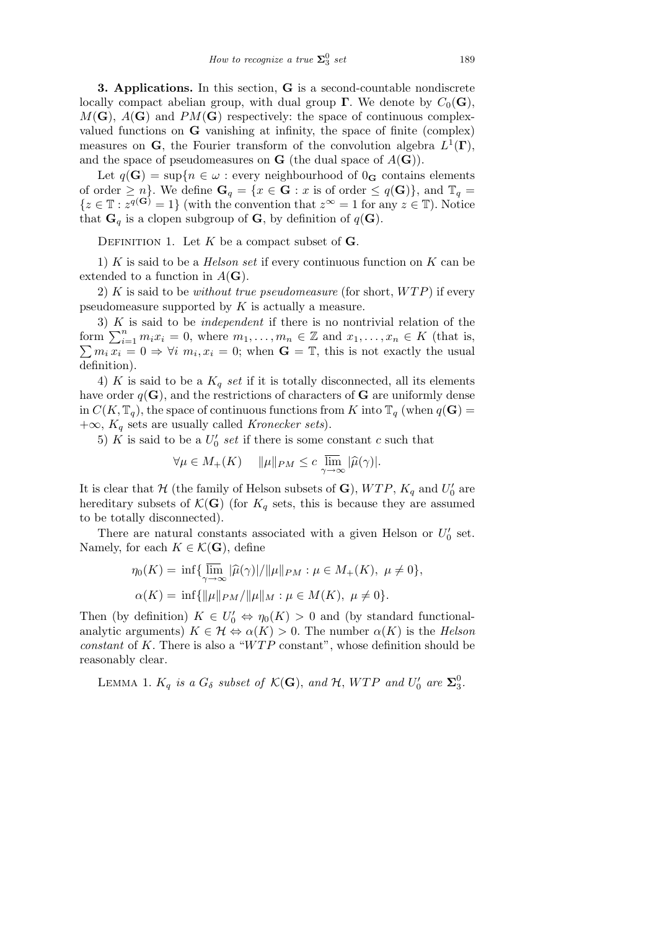**3. Applications.** In this section, **G** is a second-countable nondiscrete locally compact abelian group, with dual group **Γ**. We denote by  $C_0(\mathbf{G})$ ,  $M(\mathbf{G})$ ,  $A(\mathbf{G})$  and  $PM(\mathbf{G})$  respectively: the space of continuous complexvalued functions on **G** vanishing at infinity, the space of finite (complex) measures on **G**, the Fourier transform of the convolution algebra  $L^1(\Gamma)$ , and the space of pseudomeasures on **G** (the dual space of  $A(G)$ ).

Let  $q(\mathbf{G}) = \sup\{n \in \omega : \text{every neighborhood of } 0_{\mathbf{G}} \text{ contains elements}\}$ of order  $\geq n$ *}*. We define  $\mathbf{G}_q = \{x \in \mathbf{G} : x \text{ is of order } \leq q(\mathbf{G})\}$ , and  $\mathbb{T}_q =$  ${z \in \mathbb{T} : z^{q(G)} = 1}$  (with the convention that  $z^{\infty} = 1$  for any  $z \in \mathbb{T}$ ). Notice that  $\mathbf{G}_q$  is a clopen subgroup of  $\mathbf{G}$ , by definition of  $q(\mathbf{G})$ .

DEFINITION 1. Let  $K$  be a compact subset of  $\mathbf{G}$ .

1) *K* is said to be a *Helson set* if every continuous function on *K* can be extended to a function in  $A(G)$ .

2) *K* is said to be *without true pseudomeasure* (for short, *W T P*) if every pseudomeasure supported by *K* is actually a measure.

3) *K* is said to be *independent* if there is no nontrivial relation of the 5) A is said to be *independent* if there is no nontrivial relation of the form  $\sum_{i=1}^{n} m_i x_i = 0$ , where  $m_1, \ldots, m_n \in \mathbb{Z}$  and  $x_1, \ldots, x_n \in K$  (that is,  $m_i x_i = 0 \Rightarrow \forall i \ m_i, x_i = 0$ ; when  $\mathbf{G} = \mathbb{T}$ , this is not exactly the usual definition).

4) *K* is said to be a  $K_q$  *set* if it is totally disconnected, all its elements have order  $q(\mathbf{G})$ , and the restrictions of characters of **G** are uniformly dense in  $C(K, \mathbb{T}_q)$ , the space of continuous functions from *K* into  $\mathbb{T}_q$  (when  $q(\mathbf{G}) =$ +*∞*, *K<sup>q</sup>* sets are usually called *Kronecker sets*).

5)  $K$  is said to be a  $U'_0$  set if there is some constant  $c$  such that

$$
\forall \mu \in M_+(K) \quad \|\mu\|_{PM} \leq c \, \overline{\lim}_{\gamma \to \infty} |\widehat{\mu}(\gamma)|.
$$

It is clear that  $H$  (the family of Helson subsets of **G**),  $WTP$ ,  $K_q$  and  $U'_0$  are hereditary subsets of  $\mathcal{K}(\mathbf{G})$  (for  $K_q$  sets, this is because they are assumed to be totally disconnected).

There are natural constants associated with a given Helson or  $U_0'$  set. Namely, for each  $K \in \mathcal{K}(\mathbf{G})$ , define

$$
\eta_0(K) = \inf \{ \lim_{\gamma \to \infty} |\hat{\mu}(\gamma)| / ||\mu||_{PM} : \mu \in M_+(K), \ \mu \neq 0 \},
$$
  

$$
\alpha(K) = \inf \{ ||\mu||_{PM} / ||\mu||_M : \mu \in M(K), \ \mu \neq 0 \}.
$$

Then (by definition)  $K \in U'_0 \Leftrightarrow \eta_0(K) > 0$  and (by standard functionalanalytic arguments)  $K \in \mathcal{H} \Leftrightarrow \alpha(K) > 0$ . The number  $\alpha(K)$  is the *Helson constant* of *K*. There is also a "*W T P* constant", whose definition should be reasonably clear.

LEMMA 1.  $K_q$  *is a*  $G_\delta$  *subset of*  $K(\mathbf{G})$ *, and*  $H$ *, WTP and*  $U'_0$  *are*  $\Sigma_3^0$ *.*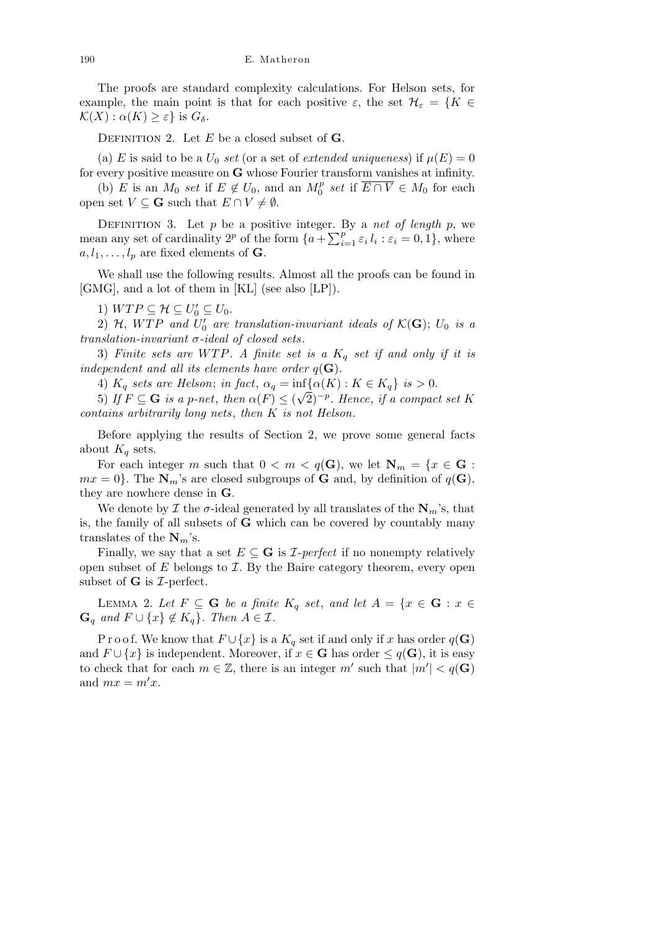The proofs are standard complexity calculations. For Helson sets, for example, the main point is that for each positive  $\varepsilon$ , the set  $\mathcal{H}_{\varepsilon} = \{K \in$  $\mathcal{K}(X) : \alpha(K) \geq \varepsilon$  is  $G_{\delta}$ .

Definition 2. Let *E* be a closed subset of **G**.

(a) *E* is said to be a  $U_0$  *set* (or a set of *extended uniqueness*) if  $\mu(E) = 0$ for every positive measure on **G** whose Fourier transform vanishes at infinity.

(b) *E* is an  $M_0$  *set* if  $E \notin U_0$ , and an  $M_0^p$  *set* if  $\overline{E \cap V} \in M_0$  for each open set  $V \subseteq G$  such that  $E \cap V \neq \emptyset$ .

DEFINITION 3. Let *p* be a positive integer. By a *net of length p*, we mean any set of cardinality  $2^p$  of the form  $\{a + \sum_{i=1}^p \varepsilon_i l_i : \varepsilon_i = 0, 1\}$ , where  $a, l_1, \ldots, l_p$  are fixed elements of **G**.

We shall use the following results. Almost all the proofs can be found in [GMG], and a lot of them in [KL] (see also [LP]).

1)  $WTP \subseteq \mathcal{H} \subseteq U'_0 \subseteq U_0$ .

2)  $H$ ,  $WTP$  and  $U'_{0}$  are translation-invariant ideals of  $K(\mathbf{G})$ ;  $U_{0}$  is a *translation-invariant σ-ideal of closed sets*.

3) *Finite sets are W T P. A finite set is a K<sup>q</sup> set if and only if it is independent and all its elements have order*  $q(\mathbf{G})$ .

4)  $K_q$  sets are Helson; in fact,  $\alpha_q = \inf \{ \alpha(K) : K \in K_q \}$  is  $> 0$ .

5) *If*  $F \subseteq G$  *is a p-net, then*  $\alpha(F) \leq (\sqrt{2})^{-p}$ *. Hence, if a compact set K contains arbitrarily long nets*, *then K is not Helson.*

Before applying the results of Section 2, we prove some general facts about  $K_q$  sets.

For each integer *m* such that  $0 < m < q(G)$ , we let  $N_m = \{x \in G :$  $mx = 0$ . The  $\mathbf{N}_m$ 's are closed subgroups of **G** and, by definition of  $q(\mathbf{G})$ , they are nowhere dense in **G**.

We denote by  $\mathcal I$  the  $\sigma$ -ideal generated by all translates of the  $\mathbf N_m$ 's, that is, the family of all subsets of **G** which can be covered by countably many translates of the  $N_m$ 's.

Finally, we say that a set  $E \subseteq G$  is *I*-perfect if no nonempty relatively open subset of *E* belongs to *I*. By the Baire category theorem, every open subset of **G** is *I*-perfect.

LEMMA 2. Let  $F \subseteq G$  be a finite  $K_q$  set, and let  $A = \{x \in G : x \in G\}$  $\mathbf{G}_q$  *and*  $F \cup \{x\} \notin K_q\}$ *. Then*  $A \in \mathcal{I}$ *.* 

Proof. We know that  $F \cup \{x\}$  is a  $K_q$  set if and only if *x* has order  $q(\mathbf{G})$ and  $F \cup \{x\}$  is independent. Moreover, if  $x \in \mathbf{G}$  has order  $\leq q(\mathbf{G})$ , it is easy to check that for each  $m \in \mathbb{Z}$ , there is an integer  $m'$  such that  $|m'| < q(\mathbf{G})$ and  $mx = m'x$ .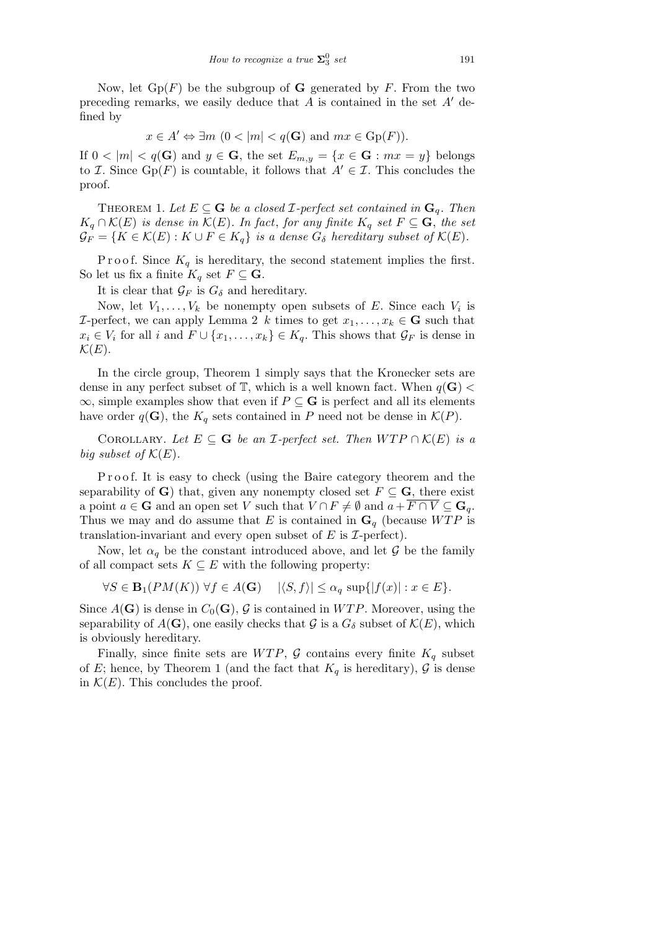Now, let  $Gp(F)$  be the subgroup of **G** generated by F. From the two preceding remarks, we easily deduce that  $A$  is contained in the set  $A'$  defined by

$$
x \in A' \Leftrightarrow \exists m \ (0 < |m| < q(\mathbf{G}) \text{ and } mx \in \text{Gp}(F)).
$$

If  $0 < |m| < q(\mathbf{G})$  and  $y \in \mathbf{G}$ , the set  $E_{m,y} = \{x \in \mathbf{G} : mx = y\}$  belongs to *I*. Since  $Gp(F)$  is countable, it follows that  $A' \in \mathcal{I}$ . This concludes the proof.

THEOREM 1. Let  $E \subseteq G$  be a closed *I*-perfect set contained in  $G_q$ . Then  $K_q \cap K(E)$  *is dense in*  $K(E)$ *. In fact, for any finite*  $K_q$  *set*  $F \subseteq G$ *, the set*  $\mathcal{G}_F = \{ K \in \mathcal{K}(E) : K \cup F \in K_q \}$  is a dense  $G_{\delta}$  hereditary subset of  $\mathcal{K}(E)$ .

P r o o f. Since  $K_q$  is hereditary, the second statement implies the first. So let us fix a finite  $K_q$  set  $F \subseteq \mathbf{G}$ .

It is clear that  $\mathcal{G}_F$  is  $G_\delta$  and hereditary.

Now, let  $V_1, \ldots, V_k$  be nonempty open subsets of *E*. Since each  $V_i$  is *I*-perfect, we can apply Lemma 2 *k* times to get  $x_1, \ldots, x_k \in \mathbf{G}$  such that  $x_i \in V_i$  for all *i* and  $F \cup \{x_1, \ldots, x_k\} \in K_q$ . This shows that  $\mathcal{G}_F$  is dense in  $\mathcal{K}(E)$ .

In the circle group, Theorem 1 simply says that the Kronecker sets are dense in any perfect subset of  $\mathbb{T}$ , which is a well known fact. When  $q(\mathbf{G})$  < *∞*, simple examples show that even if *P ⊆* **G** is perfect and all its elements have order  $q(\mathbf{G})$ , the  $K_q$  sets contained in *P* need not be dense in  $\mathcal{K}(P)$ .

COROLLARY. Let  $E \subseteq G$  be an *I*-perfect set. Then  $WTP \cap K(E)$  is a *big subset of*  $K(E)$ .

P r o o f. It is easy to check (using the Baire category theorem and the separability of **G**) that, given any nonempty closed set  $F \subseteq G$ , there exist a point  $a \in \mathbf{G}$  and an open set *V* such that  $V \cap F \neq \emptyset$  and  $a + \overline{F \cap V} \subseteq \mathbf{G}_a$ . Thus we may and do assume that *E* is contained in  $\mathbf{G}_q$  (because *WTP* is translation-invariant and every open subset of *E* is *I*-perfect).

Now, let  $\alpha_q$  be the constant introduced above, and let  $\mathcal G$  be the family of all compact sets  $K \subseteq E$  with the following property:

$$
\forall S \in \mathbf{B}_1(PM(K)) \,\,\forall f \in A(\mathbf{G}) \quad |\langle S, f \rangle| \le \alpha_q \, \sup\{|f(x)| : x \in E\}.
$$

Since  $A(G)$  is dense in  $C_0(G)$ , G is contained in WTP. Moreover, using the separability of  $A(G)$ , one easily checks that *G* is a  $G_{\delta}$  subset of  $K(E)$ , which is obviously hereditary.

Finally, since finite sets are  $WTP$ ,  $G$  contains every finite  $K_q$  subset of *E*; hence, by Theorem 1 (and the fact that  $K_q$  is hereditary),  $\mathcal G$  is dense in  $K(E)$ . This concludes the proof.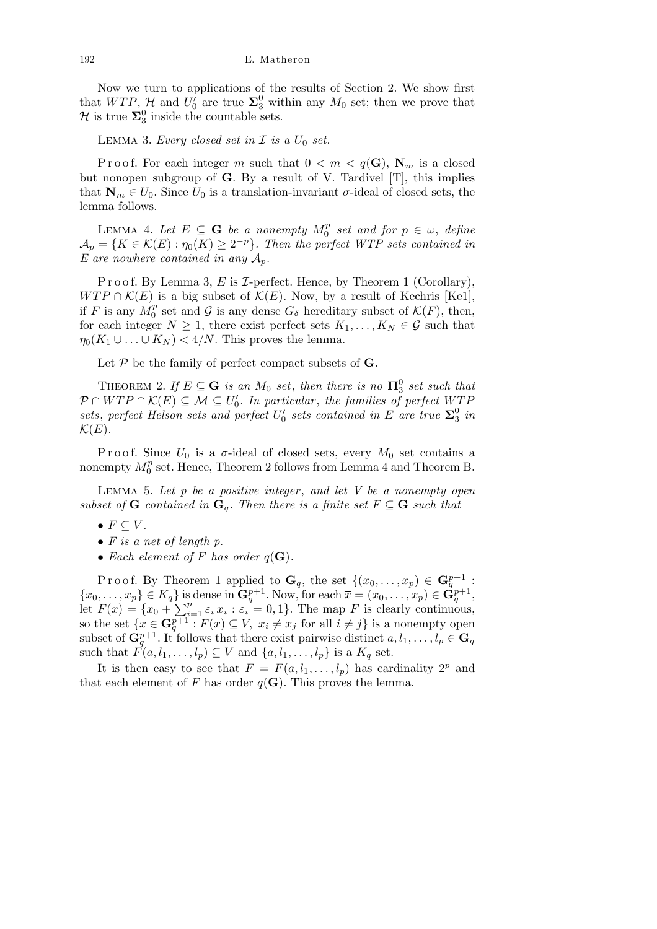Now we turn to applications of the results of Section 2. We show first that  $WTP$ ,  $H$  and  $U_0'$  are true  $\Sigma_3^0$  within any  $M_0$  set; then we prove that *H* is true  $\Sigma_3^0$  inside the countable sets.

LEMMA 3. *Every closed set in*  $I$  *is a*  $U_0$  *set.* 

Proof. For each integer *m* such that  $0 < m < q(G)$ ,  $N_m$  is a closed but nonopen subgroup of **G**. By a result of V. Tardivel [T], this implies that  $\mathbf{N}_m \in U_0$ . Since  $U_0$  is a translation-invariant  $\sigma$ -ideal of closed sets, the lemma follows.

LEMMA 4. Let  $E \subseteq G$  be a nonempty  $M_0^p$  set and for  $p \in \omega$ , define  $\mathcal{A}_p = \{ K \in \mathcal{K}(E) : \eta_0(K) \geq 2^{-p} \}$ . Then the perfect WTP sets contained in *E* are nowhere contained in any  $A_p$ .

P r o o f. By Lemma 3, E is *I*-perfect. Hence, by Theorem 1 (Corollary), *WTP*  $\cap$  *K*(*E*) is a big subset of *K*(*E*). Now, by a result of Kechris [Ke1], if *F* is any  $M_0^p$  set and *G* is any dense  $G_\delta$  hereditary subset of  $\mathcal{K}(F)$ , then, for each integer  $N \geq 1$ , there exist perfect sets  $K_1, \ldots, K_N \in \mathcal{G}$  such that  $\eta_0(K_1 \cup \ldots \cup K_N) < 4/N$ . This proves the lemma.

Let *P* be the family of perfect compact subsets of **G**.

THEOREM 2. If  $E \subseteq G$  *is an*  $M_0$  *set*, *then there is no*  $\Pi_3^0$  *set such that*  $P \cap WTP \cap K(E) \subseteq M \subseteq U'_0$ . In particular, the families of perfect  $WTP$ *sets*, *perfect Helson sets and perfect*  $U'_0$  *sets contained in*  $E$  *are true*  $\Sigma_3^0$  *in*  $\mathcal{K}(E)$ .

Proof. Since  $U_0$  is a  $\sigma$ -ideal of closed sets, every  $M_0$  set contains a nonempty  $M_0^p$  set. Hence, Theorem 2 follows from Lemma 4 and Theorem B.

Lemma 5. *Let p be a positive integer* , *and let V be a nonempty open subset of* **G** *contained in*  $\mathbf{G}_q$ *. Then there is a finite set*  $F \subseteq \mathbf{G}$  *such that* 

- $F \subseteq V$ .
- *• F is a net of length p.*
- *Each element of*  $F$  *has order*  $q(G)$ *.*

Proof. By Theorem 1 applied to  $\mathbf{G}_q$ , the set  $\{(x_0, \ldots, x_p) \in \mathbf{G}_q^{p+1}$ :  ${x_0, \ldots, x_p} \in K_q$  is dense in  $\mathbf{G}_q^{p+1}$ . Now, for each  $\bar{x} = (x_0, \ldots, x_p) \in \mathbf{G}_q^{p+1}$ ,  $\begin{array}{l}\n\{x_0, \ldots, x_p\} \in \mathbf{A}_q\} \text{ is } \\
\text{let } F(\overline{x}) = \{x_0 + \sum_{i=1}^p x_i\}.\n\end{array}$  $\sum_{i=1}^{p} \varepsilon_i x_i : \varepsilon_i = 0, 1\}.$  The map *F* is clearly continuous, so the set  ${\{\overline{x} \in \mathbf{G}_q^{p+1} : F(\overline{x}) \subseteq V, x_i \neq x_j \text{ for all } i \neq j\}}$  is a nonempty open subset of  $\mathbf{G}_q^{p+1}$ . It follows that there exist pairwise distinct  $a, l_1, \ldots, l_p \in \mathbf{G}_q$ such that  $F(a, l_1, \ldots, l_p) \subseteq V$  and  $\{a, l_1, \ldots, l_p\}$  is a  $K_q$  set.

It is then easy to see that  $F = F(a, l_1, \ldots, l_p)$  has cardinality  $2^p$  and that each element of *F* has order  $q(\mathbf{G})$ . This proves the lemma.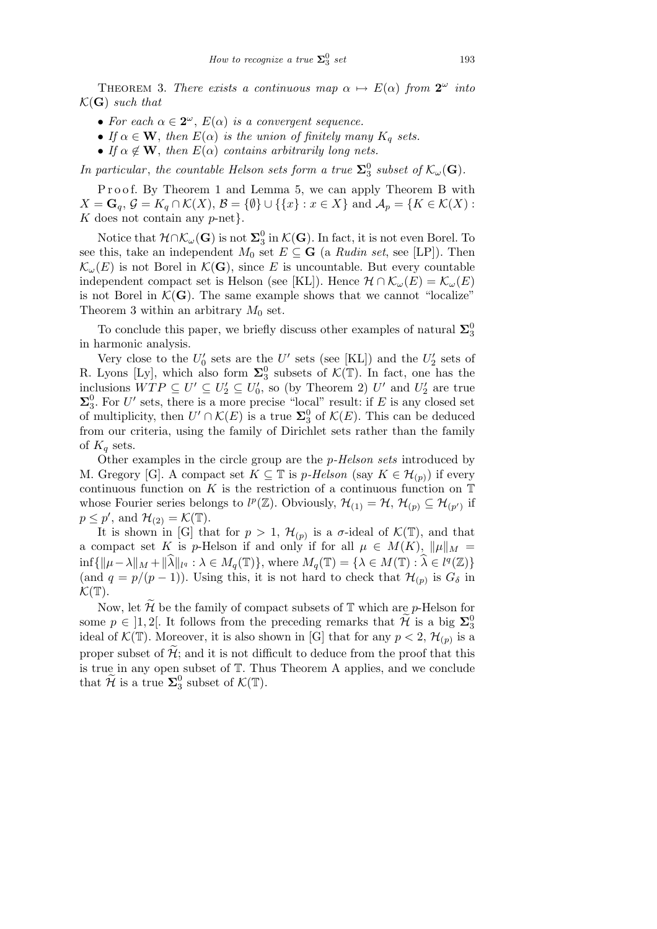THEOREM 3. *There exists a continuous map*  $\alpha \mapsto E(\alpha)$  *from*  $2^{\omega}$  *into*  $\mathcal{K}(\mathbf{G})$  *such that* 

- For each  $\alpha \in 2^{\omega}$ ,  $E(\alpha)$  *is a convergent sequence.*
- *If*  $\alpha \in \mathbf{W}$ , then  $E(\alpha)$  *is the union of finitely many*  $K_q$  *sets.*
- *If*  $\alpha \notin \mathbf{W}$ , *then*  $E(\alpha)$  *contains arbitrarily long nets.*

*In particular, the countable Helson sets form a true*  $\Sigma_3^0$  *subset of*  $\mathcal{K}_{\omega}(\mathbf{G})$ *.* 

Proof. By Theorem 1 and Lemma 5, we can apply Theorem B with *X* = **G**<sub>*q*</sub>,  $\mathcal{G} = K_q \cap \mathcal{K}(X)$ ,  $\mathcal{B} = {\emptyset}$  ∪ { $\{x\} : x \in X$ } and  $\mathcal{A}_p = \{K \in \mathcal{K}(X) :$ *K* does not contain any *p*-net*}*.

Notice that *H∩Kω*(**G**) is not **Σ** 0 3 in *K*(**G**). In fact, it is not even Borel. To see this, take an independent  $M_0$  set  $E \subseteq G$  (a *Rudin set*, see [LP]). Then  $\mathcal{K}_{\omega}(E)$  is not Borel in  $\mathcal{K}(\mathbf{G})$ , since *E* is uncountable. But every countable independent compact set is Helson (see [KL]). Hence  $\mathcal{H} \cap \mathcal{K}_{\omega}(E) = \mathcal{K}_{\omega}(E)$ is not Borel in  $K(G)$ . The same example shows that we cannot "localize" Theorem 3 within an arbitrary  $M_0$  set.

To conclude this paper, we briefly discuss other examples of natural  $\Sigma_3^0$ in harmonic analysis.

Very close to the  $U_0'$  sets are the  $U'$  sets (see [KL]) and the  $U_2'$  sets of R. Lyons [Ly], which also form  $\Sigma_3^0$  subsets of  $\mathcal{K}(\mathbb{T})$ . In fact, one has the inclusions  $WTP \subseteq U' \subseteq U'_0$ , so (by Theorem 2) *U'* and  $U'_2$  are true  $\Sigma_3^0$ . For *U'* sets, there is a more precise "local" result: if *E* is any closed set of multiplicity, then  $U' \cap \mathcal{K}(E)$  is a true  $\Sigma_3^0$  of  $\mathcal{K}(E)$ . This can be deduced from our criteria, using the family of Dirichlet sets rather than the family of  $K_q$  sets.

Other examples in the circle group are the *p-Helson sets* introduced by M. Gregory [G]. A compact set  $K \subseteq \mathbb{T}$  is *p*-Helson (say  $K \in \mathcal{H}_{(p)}$ ) if every continuous function on  $K$  is the restriction of a continuous function on  $\mathbb T$ whose Fourier series belongs to  $l^p(\mathbb{Z})$ . Obviously,  $\mathcal{H}_{(1)} = \mathcal{H}$ ,  $\mathcal{H}_{(p)} \subseteq \mathcal{H}_{(p')}$  if  $p \leq p'$ , and  $\mathcal{H}_{(2)} = \mathcal{K}(\mathbb{T})$ .

It is shown in [G] that for  $p > 1$ ,  $\mathcal{H}_{(p)}$  is a  $\sigma$ -ideal of  $\mathcal{K}(\mathbb{T})$ , and that a compact set *K* is *p*-Helson if and only if for all  $\mu \in M(K)$ ,  $\|\mu\|_M =$  $\inf \{ ||\mu - \lambda||_M + ||\widehat{\lambda}||_{l^q} : \lambda \in M_q(\mathbb{T}) \},$  where  $M_q(\mathbb{T}) = \{ \lambda \in M(\mathbb{T}) : \widehat{\lambda} \in l^q(\mathbb{Z}) \}$ (and  $q = p/(p-1)$ ). Using this, it is not hard to check that  $\mathcal{H}_{(p)}$  is  $G_{\delta}$  in  $\mathcal{K}(\mathbb{T}).$ 

Now, let  $H$  be the family of compact subsets of  $T$  which are  $p$ -Helson for some  $p \in ]1,2[$ . It follows from the preceding remarks that  $\mathcal{H}$  is a big  $\Sigma_3^0$ ideal of  $\mathcal{K}(\mathbb{T})$ . Moreover, it is also shown in [G] that for any  $p < 2$ ,  $\mathcal{H}_{(p)}$  is a proper subset of  $\tilde{\mathcal{H}}$ ; and it is not difficult to deduce from the proof that this is true in any open subset of T. Thus Theorem A applies, and we conclude that  $\widetilde{\mathcal{H}}$  is a true  $\Sigma_3^0$  subset of  $\mathcal{K}(\mathbb{T})$ .